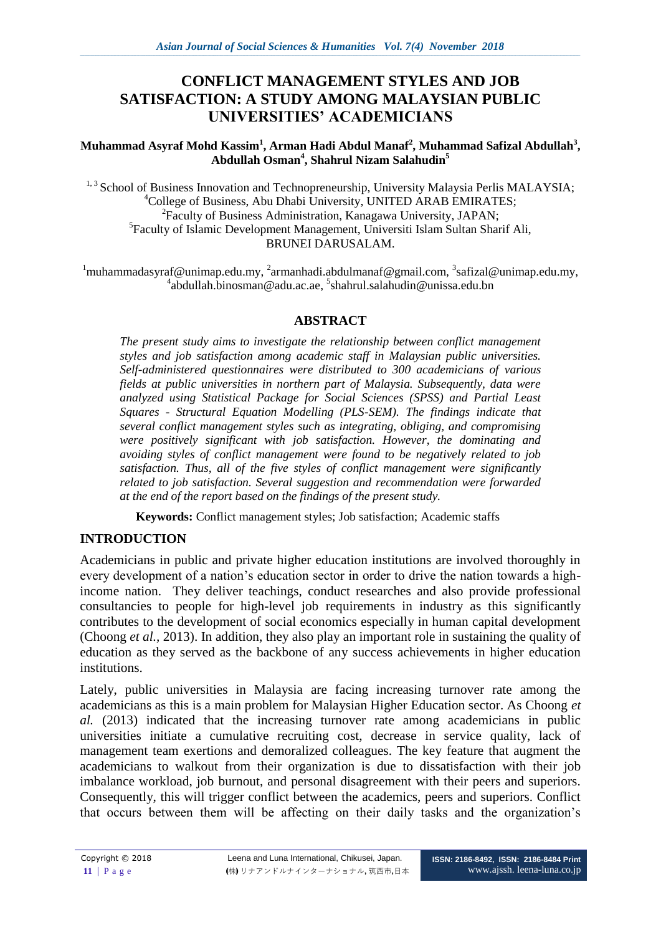# **CONFLICT MANAGEMENT STYLES AND JOB SATISFACTION: A STUDY AMONG MALAYSIAN PUBLIC UNIVERSITIES' ACADEMICIANS**

#### **Muhammad Asyraf Mohd Kassim<sup>1</sup> , Arman Hadi Abdul Manaf<sup>2</sup> , Muhammad Safizal Abdullah<sup>3</sup> , Abdullah Osman<sup>4</sup> , Shahrul Nizam Salahudin<sup>5</sup>**

<sup>1, 3</sup> School of Business Innovation and Technopreneurship, University Malaysia Perlis MALAYSIA; <sup>4</sup>College of Business, Abu Dhabi University, UNITED ARAB EMIRATES; 2 Faculty of Business Administration, Kanagawa University, JAPAN; 5 Faculty of Islamic Development Management, Universiti Islam Sultan Sharif Ali, BRUNEI DARUSALAM.

 $1$ muhammadasyraf@unimap.edu.my,  $2$ armanhadi.abdulmanaf@gmail.com,  $3$ safizal@unimap.edu.my, 4 abdullah.binosman@adu.ac.ae, 5 shahrul.salahudin@unissa.edu.bn

### **ABSTRACT**

*The present study aims to investigate the relationship between conflict management styles and job satisfaction among academic staff in Malaysian public universities. Self-administered questionnaires were distributed to 300 academicians of various fields at public universities in northern part of Malaysia. Subsequently, data were analyzed using Statistical Package for Social Sciences (SPSS) and Partial Least Squares - Structural Equation Modelling (PLS-SEM). The findings indicate that several conflict management styles such as integrating, obliging, and compromising were positively significant with job satisfaction. However, the dominating and avoiding styles of conflict management were found to be negatively related to job satisfaction. Thus, all of the five styles of conflict management were significantly related to job satisfaction. Several suggestion and recommendation were forwarded at the end of the report based on the findings of the present study.*

**Keywords:** Conflict management styles; Job satisfaction; Academic staffs

# **INTRODUCTION**

Academicians in public and private higher education institutions are involved thoroughly in every development of a nation's education sector in order to drive the nation towards a highincome nation. They deliver teachings, conduct researches and also provide professional consultancies to people for high-level job requirements in industry as this significantly contributes to the development of social economics especially in human capital development (Choong *et al.,* 2013). In addition, they also play an important role in sustaining the quality of education as they served as the backbone of any success achievements in higher education institutions.

Lately, public universities in Malaysia are facing increasing turnover rate among the academicians as this is a main problem for Malaysian Higher Education sector. As Choong *et al.* (2013) indicated that the increasing turnover rate among academicians in public universities initiate a cumulative recruiting cost, decrease in service quality, lack of management team exertions and demoralized colleagues. The key feature that augment the academicians to walkout from their organization is due to dissatisfaction with their job imbalance workload, job burnout, and personal disagreement with their peers and superiors. Consequently, this will trigger conflict between the academics, peers and superiors. Conflict that occurs between them will be affecting on their daily tasks and the organization's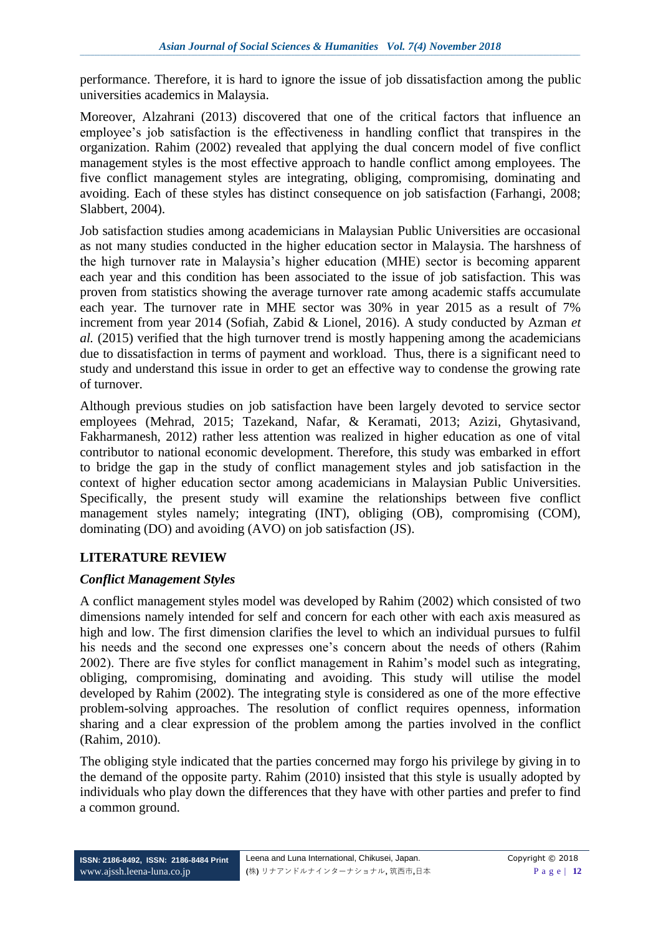performance. Therefore, it is hard to ignore the issue of job dissatisfaction among the public universities academics in Malaysia.

Moreover, Alzahrani (2013) discovered that one of the critical factors that influence an employee's job satisfaction is the effectiveness in handling conflict that transpires in the organization. Rahim (2002) revealed that applying the dual concern model of five conflict management styles is the most effective approach to handle conflict among employees. The five conflict management styles are integrating, obliging, compromising, dominating and avoiding. Each of these styles has distinct consequence on job satisfaction (Farhangi, 2008; Slabbert, 2004).

Job satisfaction studies among academicians in Malaysian Public Universities are occasional as not many studies conducted in the higher education sector in Malaysia. The harshness of the high turnover rate in Malaysia's higher education (MHE) sector is becoming apparent each year and this condition has been associated to the issue of job satisfaction. This was proven from statistics showing the average turnover rate among academic staffs accumulate each year. The turnover rate in MHE sector was 30% in year 2015 as a result of 7% increment from year 2014 (Sofiah, Zabid & Lionel, 2016). A study conducted by Azman *et al.* (2015) verified that the high turnover trend is mostly happening among the academicians due to dissatisfaction in terms of payment and workload. Thus, there is a significant need to study and understand this issue in order to get an effective way to condense the growing rate of turnover.

Although previous studies on job satisfaction have been largely devoted to service sector employees (Mehrad, 2015; Tazekand, Nafar, & Keramati, 2013; Azizi, Ghytasivand, Fakharmanesh, 2012) rather less attention was realized in higher education as one of vital contributor to national economic development. Therefore, this study was embarked in effort to bridge the gap in the study of conflict management styles and job satisfaction in the context of higher education sector among academicians in Malaysian Public Universities. Specifically, the present study will examine the relationships between five conflict management styles namely; integrating (INT), obliging (OB), compromising (COM), dominating (DO) and avoiding (AVO) on job satisfaction (JS).

# **LITERATURE REVIEW**

# *Conflict Management Styles*

A conflict management styles model was developed by Rahim (2002) which consisted of two dimensions namely intended for self and concern for each other with each axis measured as high and low. The first dimension clarifies the level to which an individual pursues to fulfil his needs and the second one expresses one's concern about the needs of others (Rahim 2002). There are five styles for conflict management in Rahim's model such as integrating, obliging, compromising, dominating and avoiding. This study will utilise the model developed by Rahim (2002). The integrating style is considered as one of the more effective problem-solving approaches. The resolution of conflict requires openness, information sharing and a clear expression of the problem among the parties involved in the conflict (Rahim, 2010).

The obliging style indicated that the parties concerned may forgo his privilege by giving in to the demand of the opposite party. Rahim (2010) insisted that this style is usually adopted by individuals who play down the differences that they have with other parties and prefer to find a common ground.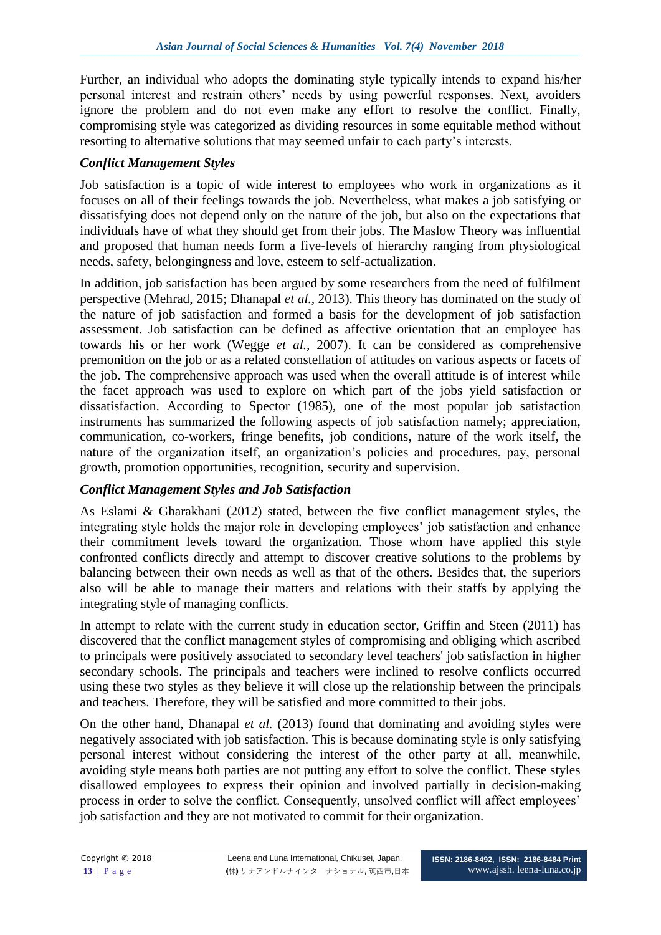Further, an individual who adopts the dominating style typically intends to expand his/her personal interest and restrain others' needs by using powerful responses. Next, avoiders ignore the problem and do not even make any effort to resolve the conflict. Finally, compromising style was categorized as dividing resources in some equitable method without resorting to alternative solutions that may seemed unfair to each party's interests.

### *Conflict Management Styles*

Job satisfaction is a topic of wide interest to employees who work in organizations as it focuses on all of their feelings towards the job. Nevertheless, what makes a job satisfying or dissatisfying does not depend only on the nature of the job, but also on the expectations that individuals have of what they should get from their jobs. The Maslow Theory was influential and proposed that human needs form a five-levels of hierarchy ranging from physiological needs, safety, belongingness and love, esteem to self-actualization.

In addition, job satisfaction has been argued by some researchers from the need of fulfilment perspective (Mehrad, 2015; Dhanapal *et al.,* 2013). This theory has dominated on the study of the nature of job satisfaction and formed a basis for the development of job satisfaction assessment. Job satisfaction can be defined as affective orientation that an employee has towards his or her work (Wegge *et al.,* 2007). It can be considered as comprehensive premonition on the job or as a related constellation of attitudes on various aspects or facets of the job. The comprehensive approach was used when the overall attitude is of interest while the facet approach was used to explore on which part of the jobs yield satisfaction or dissatisfaction. According to Spector (1985), one of the most popular job satisfaction instruments has summarized the following aspects of job satisfaction namely; appreciation, communication, co-workers, fringe benefits, job conditions, nature of the work itself, the nature of the organization itself, an organization's policies and procedures, pay, personal growth, promotion opportunities, recognition, security and supervision.

# *Conflict Management Styles and Job Satisfaction*

As Eslami & Gharakhani (2012) stated, between the five conflict management styles, the integrating style holds the major role in developing employees' job satisfaction and enhance their commitment levels toward the organization. Those whom have applied this style confronted conflicts directly and attempt to discover creative solutions to the problems by balancing between their own needs as well as that of the others. Besides that, the superiors also will be able to manage their matters and relations with their staffs by applying the integrating style of managing conflicts.

In attempt to relate with the current study in education sector, Griffin and Steen (2011) has discovered that the conflict management styles of compromising and obliging which ascribed to principals were positively associated to secondary level teachers' job satisfaction in higher secondary schools. The principals and teachers were inclined to resolve conflicts occurred using these two styles as they believe it will close up the relationship between the principals and teachers. Therefore, they will be satisfied and more committed to their jobs.

On the other hand, Dhanapal *et al.* (2013) found that dominating and avoiding styles were negatively associated with job satisfaction. This is because dominating style is only satisfying personal interest without considering the interest of the other party at all, meanwhile, avoiding style means both parties are not putting any effort to solve the conflict. These styles disallowed employees to express their opinion and involved partially in decision-making process in order to solve the conflict. Consequently, unsolved conflict will affect employees' job satisfaction and they are not motivated to commit for their organization.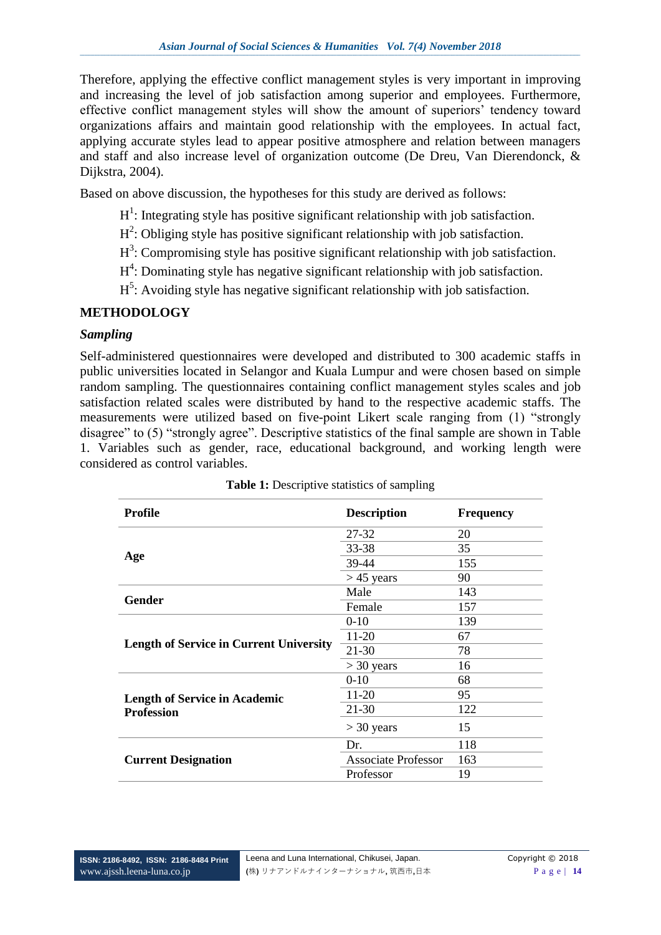Therefore, applying the effective conflict management styles is very important in improving and increasing the level of job satisfaction among superior and employees. Furthermore, effective conflict management styles will show the amount of superiors' tendency toward organizations affairs and maintain good relationship with the employees. In actual fact, applying accurate styles lead to appear positive atmosphere and relation between managers and staff and also increase level of organization outcome (De Dreu, Van Dierendonck, & Dijkstra, 2004).

Based on above discussion, the hypotheses for this study are derived as follows:

- $H<sup>1</sup>$ : Integrating style has positive significant relationship with job satisfaction.
- $H^2$ : Obliging style has positive significant relationship with job satisfaction.
- $H^3$ : Compromising style has positive significant relationship with job satisfaction.
- H<sup>4</sup>: Dominating style has negative significant relationship with job satisfaction.
- $H^5$ : Avoiding style has negative significant relationship with job satisfaction.

### **METHODOLOGY**

#### *Sampling*

Self-administered questionnaires were developed and distributed to 300 academic staffs in public universities located in Selangor and Kuala Lumpur and were chosen based on simple random sampling. The questionnaires containing conflict management styles scales and job satisfaction related scales were distributed by hand to the respective academic staffs. The measurements were utilized based on five-point Likert scale ranging from (1) "strongly disagree" to (5) "strongly agree". Descriptive statistics of the final sample are shown in Table 1. Variables such as gender, race, educational background, and working length were considered as control variables.

| Profile                                        | <b>Description</b>         | <b>Frequency</b> |
|------------------------------------------------|----------------------------|------------------|
|                                                | 27-32                      | 20               |
|                                                | 33-38                      | 35               |
| Age                                            | 39-44                      | 155              |
|                                                | $>45$ years                | 90               |
|                                                | Male                       | 143              |
| <b>Gender</b>                                  | Female                     | 157              |
|                                                | $0-10$                     | 139              |
|                                                | 11-20                      | 67               |
| <b>Length of Service in Current University</b> | $21 - 30$                  | 78               |
|                                                | $>$ 30 years               | 16               |
|                                                | $0 - 10$                   | 68               |
| <b>Length of Service in Academic</b>           | 11-20                      | 95               |
| <b>Profession</b>                              | 21-30                      | 122              |
|                                                | $>$ 30 years               | 15               |
|                                                | Dr.                        | 118              |
| <b>Current Designation</b>                     | <b>Associate Professor</b> | 163              |
|                                                | Professor                  | 19               |

**Table 1:** Descriptive statistics of sampling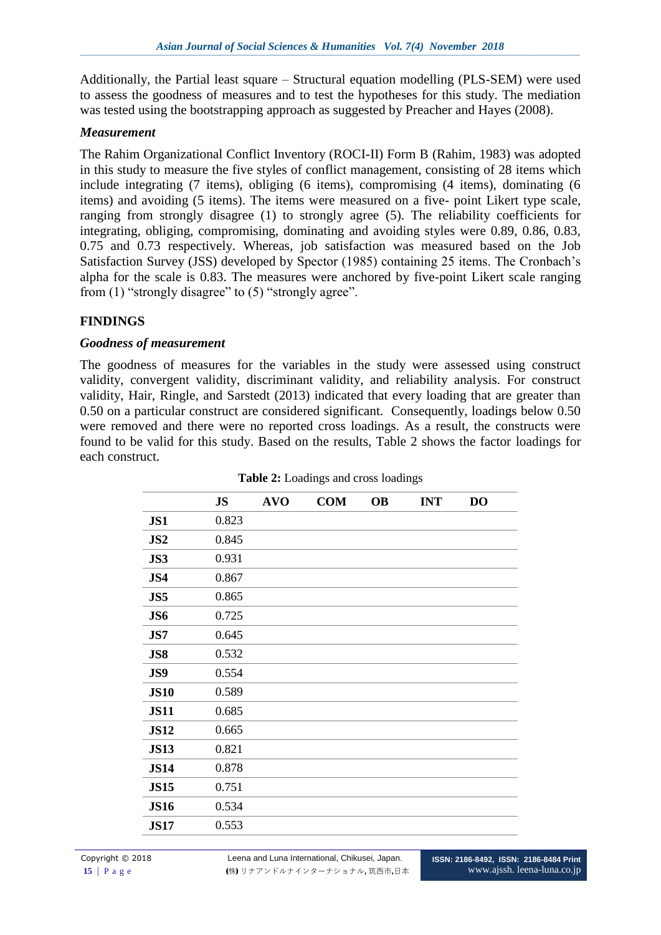Additionally, the Partial least square – Structural equation modelling (PLS-SEM) were used to assess the goodness of measures and to test the hypotheses for this study. The mediation was tested using the bootstrapping approach as suggested by Preacher and Hayes (2008).

#### *Measurement*

The Rahim Organizational Conflict Inventory (ROCI-II) Form B (Rahim, 1983) was adopted in this study to measure the five styles of conflict management, consisting of 28 items which include integrating (7 items), obliging (6 items), compromising (4 items), dominating (6 items) and avoiding (5 items). The items were measured on a five- point Likert type scale, ranging from strongly disagree (1) to strongly agree (5). The reliability coefficients for integrating, obliging, compromising, dominating and avoiding styles were 0.89, 0.86, 0.83, 0.75 and 0.73 respectively. Whereas, job satisfaction was measured based on the Job Satisfaction Survey (JSS) developed by Spector (1985) containing 25 items. The Cronbach's alpha for the scale is 0.83. The measures were anchored by five-point Likert scale ranging from (1) "strongly disagree" to (5) "strongly agree".

#### **FINDINGS**

#### *Goodness of measurement*

The goodness of measures for the variables in the study were assessed using construct validity, convergent validity, discriminant validity, and reliability analysis. For construct validity, Hair, Ringle, and Sarstedt (2013) indicated that every loading that are greater than 0.50 on a particular construct are considered significant. Consequently, loadings below 0.50 were removed and there were no reported cross loadings. As a result, the constructs were found to be valid for this study. Based on the results, Table 2 shows the factor loadings for each construct.

|             | <b>JS</b> | <b>AVO</b> | <b>COM</b> | <b>OB</b> | <b>INT</b> | <b>DO</b> |
|-------------|-----------|------------|------------|-----------|------------|-----------|
| JS1         | 0.823     |            |            |           |            |           |
| JS2         | 0.845     |            |            |           |            |           |
| JS3         | 0.931     |            |            |           |            |           |
| JS4         | 0.867     |            |            |           |            |           |
| JS5         | 0.865     |            |            |           |            |           |
| JS6         | 0.725     |            |            |           |            |           |
| JS7         | 0.645     |            |            |           |            |           |
| JS8         | 0.532     |            |            |           |            |           |
| JS9         | 0.554     |            |            |           |            |           |
| <b>JS10</b> | 0.589     |            |            |           |            |           |
| <b>JS11</b> | 0.685     |            |            |           |            |           |
| <b>JS12</b> | 0.665     |            |            |           |            |           |
| <b>JS13</b> | 0.821     |            |            |           |            |           |
| <b>JS14</b> | 0.878     |            |            |           |            |           |
| <b>JS15</b> | 0.751     |            |            |           |            |           |
| <b>JS16</b> | 0.534     |            |            |           |            |           |
| <b>JS17</b> | 0.553     |            |            |           |            |           |

**Table 2:** Loadings and cross loadings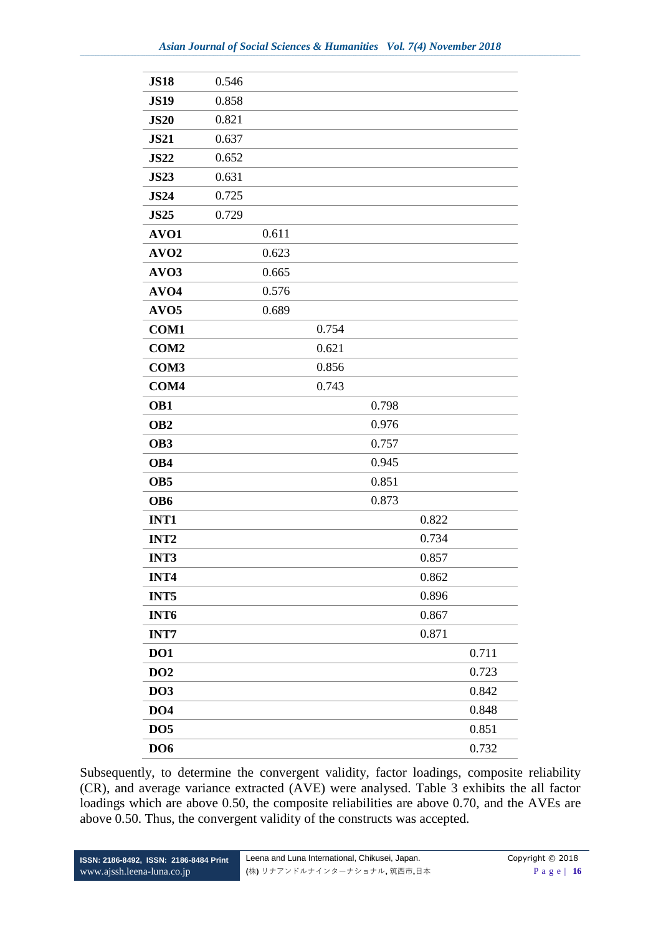| <b>JS18</b>      | 0.546 |       |       |       |       |       |
|------------------|-------|-------|-------|-------|-------|-------|
| <b>JS19</b>      | 0.858 |       |       |       |       |       |
| <b>JS20</b>      | 0.821 |       |       |       |       |       |
| <b>JS21</b>      | 0.637 |       |       |       |       |       |
| <b>JS22</b>      | 0.652 |       |       |       |       |       |
| <b>JS23</b>      | 0.631 |       |       |       |       |       |
| <b>JS24</b>      | 0.725 |       |       |       |       |       |
| <b>JS25</b>      | 0.729 |       |       |       |       |       |
| AVO1             |       | 0.611 |       |       |       |       |
| AVO <sub>2</sub> |       | 0.623 |       |       |       |       |
| AVO <sub>3</sub> |       | 0.665 |       |       |       |       |
| AVO <sub>4</sub> |       | 0.576 |       |       |       |       |
| AVO <sub>5</sub> |       | 0.689 |       |       |       |       |
| COM1             |       |       | 0.754 |       |       |       |
| COM <sub>2</sub> |       |       | 0.621 |       |       |       |
| COM3             |       |       | 0.856 |       |       |       |
| COM <sub>4</sub> |       |       | 0.743 |       |       |       |
| OB1              |       |       |       | 0.798 |       |       |
| OB <sub>2</sub>  |       |       |       | 0.976 |       |       |
| OB <sub>3</sub>  |       |       |       | 0.757 |       |       |
| OB4              |       |       |       | 0.945 |       |       |
| OB <sub>5</sub>  |       |       |       | 0.851 |       |       |
| OB6              |       |       |       | 0.873 |       |       |
| INT1             |       |       |       |       | 0.822 |       |
| INT <sub>2</sub> |       |       |       |       | 0.734 |       |
| INT3             |       |       |       |       | 0.857 |       |
| INT4             |       |       |       |       | 0.862 |       |
| INT5             |       |       |       |       | 0.896 |       |
| INT <sub>6</sub> |       |       |       |       | 0.867 |       |
| <b>INT7</b>      |       |       |       |       | 0.871 |       |
| DO1              |       |       |       |       |       | 0.711 |
| DO2              |       |       |       |       |       | 0.723 |
| <b>DO3</b>       |       |       |       |       |       | 0.842 |
| DO <sub>4</sub>  |       |       |       |       |       | 0.848 |
| DO <sub>5</sub>  |       |       |       |       |       | 0.851 |
| DO <sub>6</sub>  |       |       |       |       |       | 0.732 |

Subsequently, to determine the convergent validity, factor loadings, composite reliability (CR), and average variance extracted (AVE) were analysed. Table 3 exhibits the all factor loadings which are above 0.50, the composite reliabilities are above 0.70, and the AVEs are above 0.50. Thus, the convergent validity of the constructs was accepted.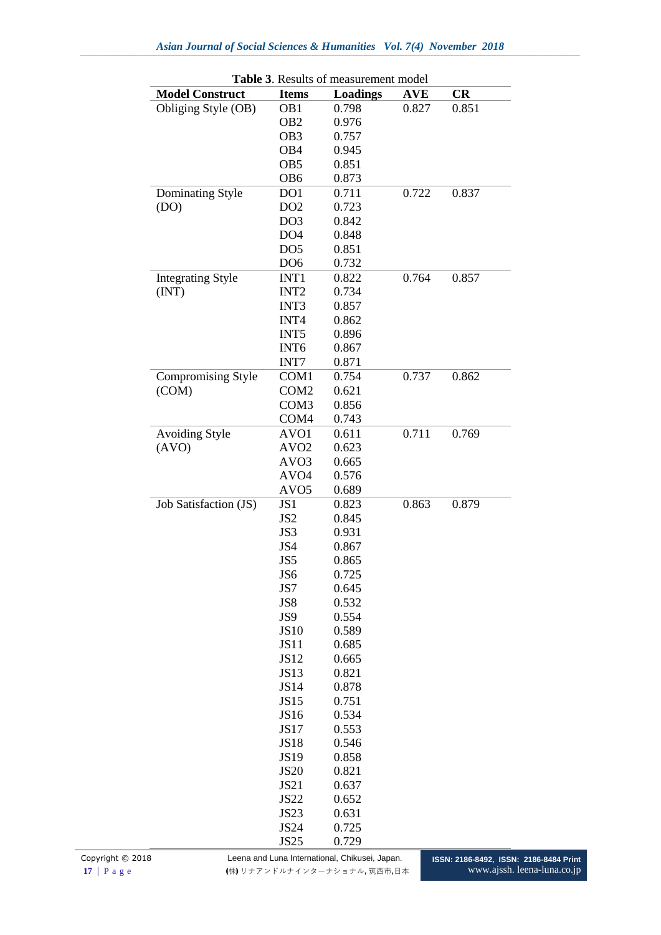| <b>Table 3.</b> Results of measurement model |                  |                 |            |       |  |  |
|----------------------------------------------|------------------|-----------------|------------|-------|--|--|
| <b>Model Construct</b>                       | <b>Items</b>     | <b>Loadings</b> | <b>AVE</b> | CR    |  |  |
| Obliging Style (OB)                          | OB1              | 0.798           | 0.827      | 0.851 |  |  |
|                                              | OB <sub>2</sub>  | 0.976           |            |       |  |  |
|                                              | OB <sub>3</sub>  | 0.757           |            |       |  |  |
|                                              | OB <sub>4</sub>  | 0.945           |            |       |  |  |
|                                              | OB <sub>5</sub>  | 0.851           |            |       |  |  |
|                                              | OB <sub>6</sub>  | 0.873           |            |       |  |  |
| Dominating Style                             | DO1              | 0.711           | 0.722      | 0.837 |  |  |
| (DO)                                         | DO <sub>2</sub>  | 0.723           |            |       |  |  |
|                                              | DO <sub>3</sub>  | 0.842           |            |       |  |  |
|                                              | DO <sub>4</sub>  | 0.848           |            |       |  |  |
|                                              | DO <sub>5</sub>  | 0.851           |            |       |  |  |
|                                              | DO <sub>6</sub>  | 0.732           |            |       |  |  |
| <b>Integrating Style</b>                     | INT1             | 0.822           | 0.764      | 0.857 |  |  |
| (INT)                                        | INT <sub>2</sub> | 0.734           |            |       |  |  |
|                                              | INT3             | 0.857           |            |       |  |  |
|                                              | INT4             | 0.862           |            |       |  |  |
|                                              | INT <sub>5</sub> | 0.896           |            |       |  |  |
|                                              | INT <sub>6</sub> | 0.867           |            |       |  |  |
|                                              | INT7             | 0.871           |            |       |  |  |
| <b>Compromising Style</b>                    | COM1             | 0.754           | 0.737      | 0.862 |  |  |
| (COM)                                        | COM <sub>2</sub> | 0.621           |            |       |  |  |
|                                              | COM <sub>3</sub> | 0.856           |            |       |  |  |
|                                              | COM <sub>4</sub> | 0.743           |            |       |  |  |
| <b>Avoiding Style</b>                        | AVO1             | 0.611           | 0.711      | 0.769 |  |  |
| (AVO)                                        | AVO <sub>2</sub> | 0.623           |            |       |  |  |
|                                              | AVO <sub>3</sub> | 0.665           |            |       |  |  |
|                                              | AVO <sub>4</sub> | 0.576           |            |       |  |  |
|                                              | AVO <sub>5</sub> | 0.689           |            |       |  |  |
| Job Satisfaction (JS)                        | JS1              | 0.823           | 0.863      | 0.879 |  |  |
|                                              | JS <sub>2</sub>  | 0.845           |            |       |  |  |
|                                              | JS3              | 0.931           |            |       |  |  |
|                                              | JS4              | 0.867           |            |       |  |  |
|                                              | JS5              | 0.865           |            |       |  |  |
|                                              | JS6              | 0.725           |            |       |  |  |
|                                              | JS7              | 0.645           |            |       |  |  |
|                                              | JS8              | 0.532           |            |       |  |  |
|                                              | JS9              | 0.554           |            |       |  |  |
|                                              | <b>JS10</b>      | 0.589           |            |       |  |  |
|                                              | <b>JS11</b>      | 0.685           |            |       |  |  |
|                                              | <b>JS12</b>      | 0.665           |            |       |  |  |
|                                              | <b>JS13</b>      | 0.821           |            |       |  |  |
|                                              | <b>JS14</b>      | 0.878           |            |       |  |  |
|                                              | <b>JS15</b>      | 0.751           |            |       |  |  |
|                                              | <b>JS16</b>      | 0.534           |            |       |  |  |
|                                              | <b>JS17</b>      | 0.553           |            |       |  |  |
|                                              | <b>JS18</b>      | 0.546           |            |       |  |  |
|                                              | <b>JS19</b>      | 0.858           |            |       |  |  |
|                                              | <b>JS20</b>      | 0.821           |            |       |  |  |
|                                              | <b>JS21</b>      | 0.637           |            |       |  |  |
|                                              | <b>JS22</b>      | 0.652           |            |       |  |  |
|                                              | <b>JS23</b>      | 0.631           |            |       |  |  |
|                                              | <b>JS24</b>      | 0.725           |            |       |  |  |
|                                              | <b>JS25</b>      | 0.729           |            |       |  |  |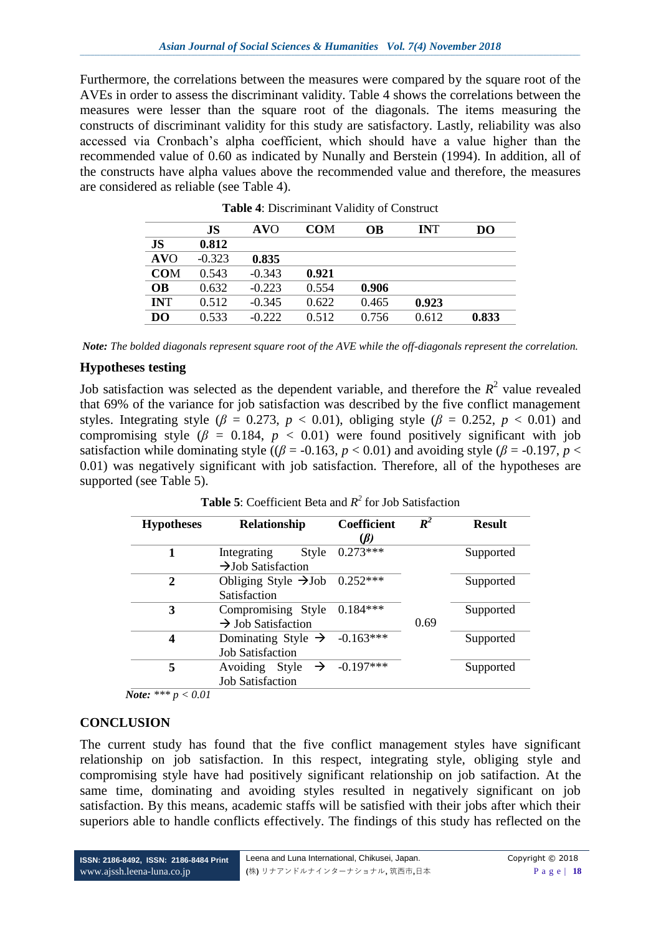Furthermore, the correlations between the measures were compared by the square root of the AVEs in order to assess the discriminant validity. Table 4 shows the correlations between the measures were lesser than the square root of the diagonals. The items measuring the constructs of discriminant validity for this study are satisfactory. Lastly, reliability was also accessed via Cronbach's alpha coefficient, which should have a value higher than the recommended value of 0.60 as indicated by Nunally and Berstein (1994). In addition, all of the constructs have alpha values above the recommended value and therefore, the measures are considered as reliable (see Table 4).

|                | JS       | <b>AVO</b> | <b>COM</b> | OВ    | <b>INT</b> | DO    |
|----------------|----------|------------|------------|-------|------------|-------|
| <b>JS</b>      | 0.812    |            |            |       |            |       |
| <b>AVO</b>     | $-0.323$ | 0.835      |            |       |            |       |
| <b>COM</b>     | 0.543    | $-0.343$   | 0.921      |       |            |       |
| OВ             | 0.632    | $-0.223$   | 0.554      | 0.906 |            |       |
| <b>INT</b>     | 0.512    | $-0.345$   | 0.622      | 0.465 | 0.923      |       |
| D <sub>O</sub> | 0.533    | $-0.222$   | 0.512      | 0.756 | 0.612      | 0.833 |

**Table 4**: Discriminant Validity of Construct

*Note: The bolded diagonals represent square root of the AVE while the off-diagonals represent the correlation.*

#### **Hypotheses testing**

Job satisfaction was selected as the dependent variable, and therefore the  $R^2$  value revealed that 69% of the variance for job satisfaction was described by the five conflict management styles. Integrating style ( $\beta$  = 0.273,  $p < 0.01$ ), obliging style ( $\beta$  = 0.252,  $p < 0.01$ ) and compromising style ( $\beta$  = 0.184,  $p < 0.01$ ) were found positively significant with job satisfaction while dominating style ( $(\beta = -0.163, p < 0.01)$ ) and avoiding style ( $\beta = -0.197, p <$ 0.01) was negatively significant with job satisfaction. Therefore, all of the hypotheses are supported (see Table 5).

| <b>Hypotheses</b>                            | Relationship                                                        | <b>Coefficient</b><br>$\mathcal{B}$ | $\boldsymbol{R}^2$ | <b>Result</b> |
|----------------------------------------------|---------------------------------------------------------------------|-------------------------------------|--------------------|---------------|
|                                              | Style<br>Integrating<br>$\rightarrow$ Job Satisfaction              | $0.273***$                          |                    | Supported     |
| 2                                            | Obliging Style $\rightarrow$ Job 0.252***<br>Satisfaction           |                                     |                    | Supported     |
| 3                                            | Compromising Style<br>$\rightarrow$ Job Satisfaction                | $0.184***$                          | 0.69               | Supported     |
| 4                                            | Dominating Style $\rightarrow$ -0.163***<br><b>Job Satisfaction</b> |                                     |                    | Supported     |
| 5<br>$\tau$ .<br>1.11.11.11.1<br>$\bigwedge$ | Avoiding Style $\rightarrow$ -0.197***<br><b>Job Satisfaction</b>   |                                     |                    | Supported     |

**Table 5**: Coefficient Beta and  $R^2$  for Job Satisfaction

 *Note: \*\*\* p < 0.01*

# **CONCLUSION**

The current study has found that the five conflict management styles have significant relationship on job satisfaction. In this respect, integrating style, obliging style and compromising style have had positively significant relationship on job satifaction. At the same time, dominating and avoiding styles resulted in negatively significant on job satisfaction. By this means, academic staffs will be satisfied with their jobs after which their superiors able to handle conflicts effectively. The findings of this study has reflected on the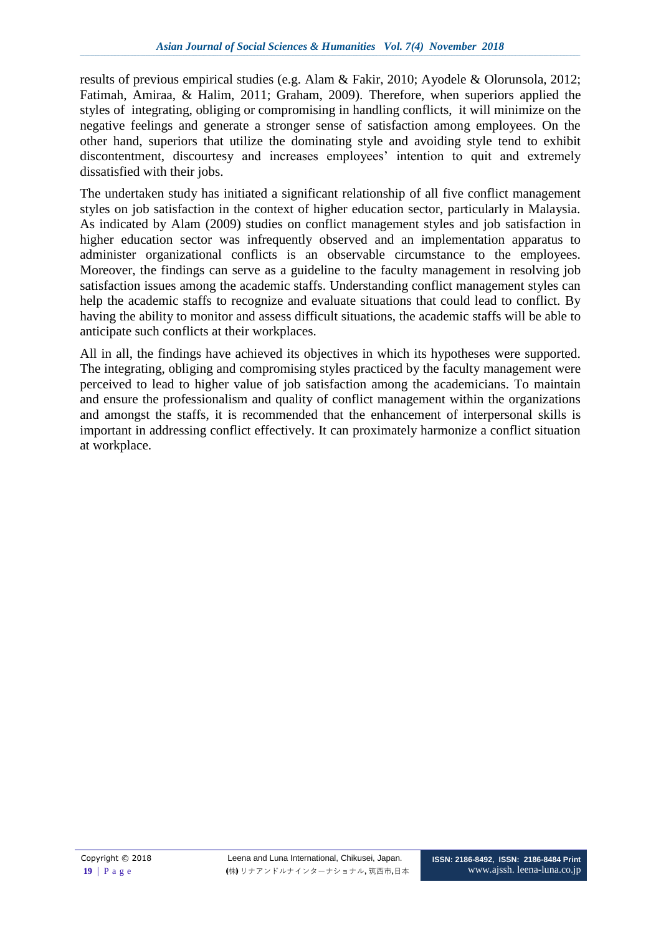results of previous empirical studies (e.g. Alam & Fakir, 2010; Ayodele & Olorunsola, 2012; Fatimah, Amiraa, & Halim, 2011; Graham, 2009). Therefore, when superiors applied the styles of integrating, obliging or compromising in handling conflicts, it will minimize on the negative feelings and generate a stronger sense of satisfaction among employees. On the other hand, superiors that utilize the dominating style and avoiding style tend to exhibit discontentment, discourtesy and increases employees' intention to quit and extremely dissatisfied with their jobs.

The undertaken study has initiated a significant relationship of all five conflict management styles on job satisfaction in the context of higher education sector, particularly in Malaysia. As indicated by Alam (2009) studies on conflict management styles and job satisfaction in higher education sector was infrequently observed and an implementation apparatus to administer organizational conflicts is an observable circumstance to the employees. Moreover, the findings can serve as a guideline to the faculty management in resolving job satisfaction issues among the academic staffs. Understanding conflict management styles can help the academic staffs to recognize and evaluate situations that could lead to conflict. By having the ability to monitor and assess difficult situations, the academic staffs will be able to anticipate such conflicts at their workplaces.

All in all, the findings have achieved its objectives in which its hypotheses were supported. The integrating, obliging and compromising styles practiced by the faculty management were perceived to lead to higher value of job satisfaction among the academicians. To maintain and ensure the professionalism and quality of conflict management within the organizations and amongst the staffs, it is recommended that the enhancement of interpersonal skills is important in addressing conflict effectively. It can proximately harmonize a conflict situation at workplace.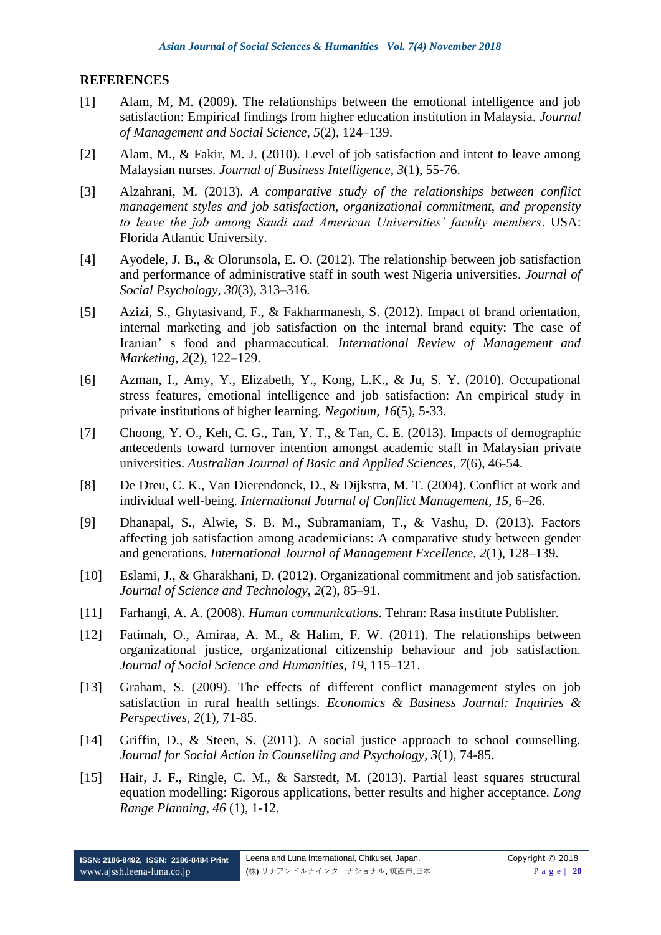#### **REFERENCES**

- [1] Alam, M, M. (2009). The relationships between the emotional intelligence and job satisfaction: Empirical findings from higher education institution in Malaysia. *Journal of Management and Social Science, 5*(2), 124–139.
- [2] Alam, M., & Fakir, M. J. (2010). Level of job satisfaction and intent to leave among Malaysian nurses. *Journal of Business Intelligence*, *3*(1), 55-76.
- [3] Alzahrani, M. (2013). *A comparative study of the relationships between conflict management styles and job satisfaction, organizational commitment, and propensity to leave the job among Saudi and American Universities' faculty members*. USA: Florida Atlantic University.
- [4] Ayodele, J. B., & Olorunsola, E. O. (2012). The relationship between job satisfaction and performance of administrative staff in south west Nigeria universities. *Journal of Social Psychology*, *30*(3), 313–316.
- [5] Azizi, S., Ghytasivand, F., & Fakharmanesh, S. (2012). Impact of brand orientation, internal marketing and job satisfaction on the internal brand equity: The case of Iranian' s food and pharmaceutical. *International Review of Management and Marketing*, *2*(2), 122–129.
- [6] Azman, I., Amy, Y., Elizabeth, Y., Kong, L.K., & Ju, S. Y. (2010). Occupational stress features, emotional intelligence and job satisfaction: An empirical study in private institutions of higher learning. *Negotium, 16*(5), 5-33.
- [7] Choong, Y. O., Keh, C. G., Tan, Y. T., & Tan, C. E. (2013). Impacts of demographic antecedents toward turnover intention amongst academic staff in Malaysian private universities. *Australian Journal of Basic and Applied Sciences*, *7*(6), 46-54.
- [8] De Dreu, C. K., Van Dierendonck, D., & Dijkstra, M. T. (2004). Conflict at work and individual well-being. *International Journal of Conflict Management, 15,* 6–26.
- [9] Dhanapal, S., Alwie, S. B. M., Subramaniam, T., & Vashu, D. (2013). Factors affecting job satisfaction among academicians: A comparative study between gender and generations. *International Journal of Management Excellence*, *2*(1), 128–139.
- [10] Eslami, J., & Gharakhani, D. (2012). Organizational commitment and job satisfaction. *Journal of Science and Technology*, *2*(2), 85–91.
- [11] Farhangi, A. A. (2008). *Human communications*. Tehran: Rasa institute Publisher.
- [12] Fatimah, O., Amiraa, A. M., & Halim, F. W. (2011). The relationships between organizational justice, organizational citizenship behaviour and job satisfaction. *Journal of Social Science and Humanities*, *19*, 115–121.
- [13] Graham, S. (2009). The effects of different conflict management styles on job satisfaction in rural health settings. *Economics & Business Journal: Inquiries & Perspectives, 2*(1), 71-85.
- [14] Griffin, D., & Steen, S. (2011). A social justice approach to school counselling. *Journal for Social Action in Counselling and Psychology, 3*(1), 74-85.
- [15] Hair, J. F., Ringle, C. M., & Sarstedt, M. (2013). Partial least squares structural equation modelling: Rigorous applications, better results and higher acceptance. *Long Range Planning, 46* (1), 1-12.